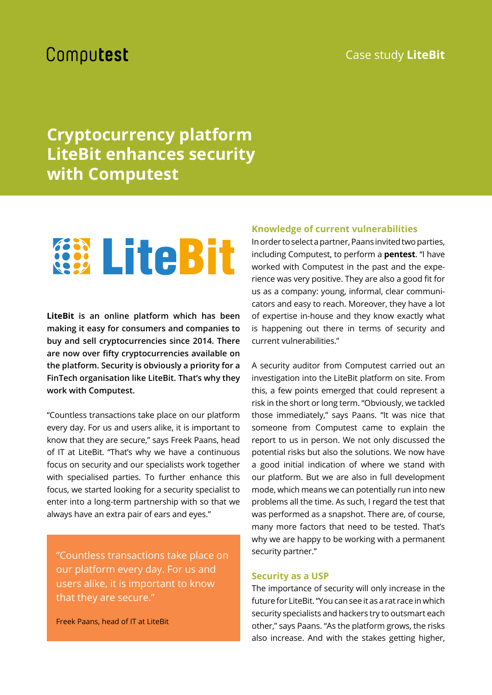# Computest

# **Cryptocurrency platform LiteBit enhances security with Computest**



**[LiteBit](https://www.litebit.eu/en?set-locale=en) is an online platform which has been making it easy for consumers and companies to buy and sell cryptocurrencies since 2014. There are now over fifty cryptocurrencies available on the platform. Security is obviously a priority for a FinTech organisation like LiteBit. That's why they work with Computest.** 

"Countless transactions take place on our platform every day. For us and users alike, it is important to know that they are secure," says Freek Paans, head of IT at LiteBit. "That's why we have a continuous focus on security and our specialists work together with specialised parties. To further enhance this focus, we started looking for a security specialist to enter into a long-term partnership with so that we always have an extra pair of ears and eyes."

"Countless transactions take place on our platform every day. For us and users alike, it is important to know that they are secure."

Freek Paans, head of IT at LiteBit

#### **Knowledge of current vulnerabilities**

In order to select a partner, Paans invited two parties, including Computest, to perform a **[pentest](https://www.computest.nl/en/services/security/pen-test/)**. "I have worked with Computest in the past and the experience was very positive. They are also a good fit for us as a company: young, informal, clear communicators and easy to reach. Moreover, they have a lot of expertise in-house and they know exactly what is happening out there in terms of security and current vulnerabilities."

A security auditor from Computest carried out an investigation into the LiteBit platform on site. From this, a few points emerged that could represent a risk in the short or long term. "Obviously, we tackled those immediately," says Paans. "It was nice that someone from Computest came to explain the report to us in person. We not only discussed the potential risks but also the solutions. We now have a good initial indication of where we stand with our platform. But we are also in full development mode, which means we can potentially run into new problems all the time. As such, I regard the test that was performed as a snapshot. There are, of course, many more factors that need to be tested. That's why we are happy to be working with a permanent security partner."

#### **Security as a USP**

The importance of security will only increase in the future for LiteBit. "You can see it as a rat race in which security specialists and hackers try to outsmart each other," says Paans. "As the platform grows, the risks also increase. And with the stakes getting higher,